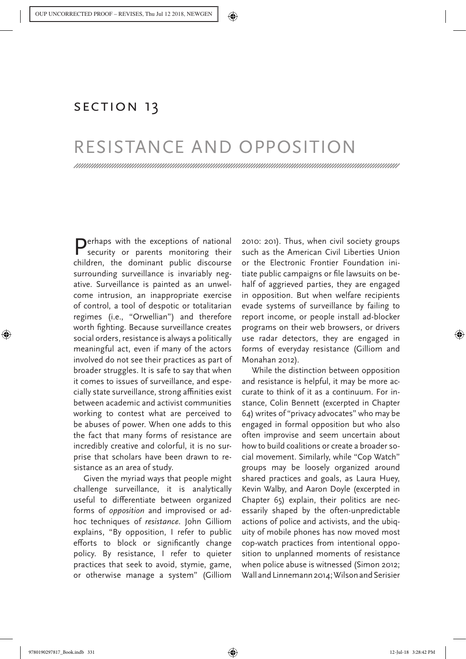Monahan, Torin, and David Murakami Wood. 2018. Resistance and Opposition. In Surveillance Studies: A Reader, edited by T. Monahan and D. Murakami Wood. New York: Oxford University Press, 331-333.

## SECTION 13

## RESISTANCE AND OPPOSITION

 $\bigcap$ erhaps with the exceptions of national security or parents monitoring their children, the dominant public discourse surrounding surveillance is invariably negative. Surveillance is painted as an unwelcome intrusion, an inappropriate exercise of control, a tool of despotic or totalitarian regimes (i.e., "Orwellian") and therefore worth fighting. Because surveillance creates social orders, resistance is always a politically meaningful act, even if many of the actors involved do not see their practices as part of broader struggles. It is safe to say that when it comes to issues of surveillance, and especially state surveillance, strong affinities exist between academic and activist communities working to contest what are perceived to be abuses of power. When one adds to this the fact that many forms of resistance are incredibly creative and colorful, it is no surprise that scholars have been drawn to resistance as an area of study.

Given the myriad ways that people might challenge surveillance, it is analytically useful to differentiate between organized forms of *opposition* and improvised or adhoc techniques of *resistance*. John Gilliom explains, "By opposition, I refer to public efforts to block or significantly change policy. By resistance, I refer to quieter practices that seek to avoid, stymie, game, or otherwise manage a system" (Gilliom

2010: 201). Thus, when civil society groups such as the American Civil Liberties Union or the Electronic Frontier Foundation initiate public campaigns or file lawsuits on behalf of aggrieved parties, they are engaged in opposition. But when welfare recipients evade systems of surveillance by failing to report income, or people install ad-blocker programs on their web browsers, or drivers use radar detectors, they are engaged in forms of everyday resistance (Gilliom and Monahan 2012).

While the distinction between opposition and resistance is helpful, it may be more accurate to think of it as a continuum. For instance, Colin Bennett (excerpted in Chapter 64) writes of "privacy advocates" who may be engaged in formal opposition but who also often improvise and seem uncertain about how to build coalitions or create a broader social movement. Similarly, while "Cop Watch" groups may be loosely organized around shared practices and goals, as Laura Huey, Kevin Walby, and Aaron Doyle (excerpted in Chapter 65) explain, their politics are necessarily shaped by the often-unpredictable actions of police and activists, and the ubiquity of mobile phones has now moved most cop-watch practices from intentional opposition to unplanned moments of resistance when police abuse is witnessed (Simon 2012; Wall and Linnemann 2014; Wilson and Serisier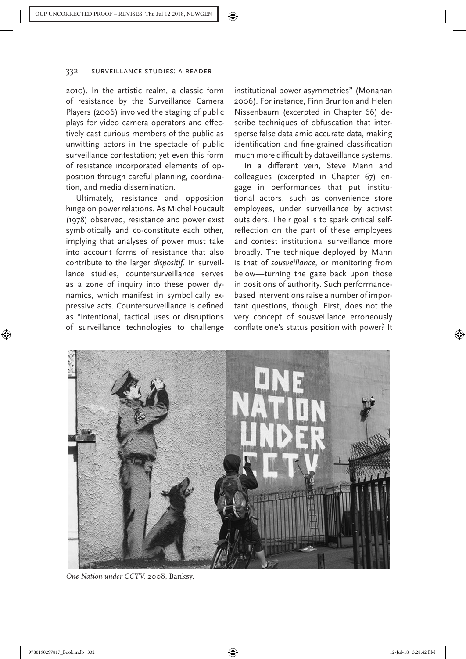2010). In the artistic realm, a classic form of resistance by the Surveillance Camera Players (2006) involved the staging of public plays for video camera operators and effectively cast curious members of the public as unwitting actors in the spectacle of public surveillance contestation; yet even this form of resistance incorporated elements of opposition through careful planning, coordination, and media dissemination.

Ultimately, resistance and opposition hinge on power relations. As Michel Foucault (1978) observed, resistance and power exist symbiotically and co-constitute each other, implying that analyses of power must take into account forms of resistance that also contribute to the larger *dispositif*. In surveillance studies, countersurveillance serves as a zone of inquiry into these power dynamics, which manifest in symbolically expressive acts. Countersurveillance is defined as "intentional, tactical uses or disruptions of surveillance technologies to challenge

institutional power asymmetries" (Monahan 2006). For instance, Finn Brunton and Helen Nissenbaum (excerpted in Chapter 66) describe techniques of obfuscation that intersperse false data amid accurate data, making identification and fine-grained classification much more difficult by dataveillance systems.

In a different vein, Steve Mann and colleagues (excerpted in Chapter 67) engage in performances that put institutional actors, such as convenience store employees, under surveillance by activist outsiders. Their goal is to spark critical selfreflection on the part of these employees and contest institutional surveillance more broadly. The technique deployed by Mann is that of *sousveillance*, or monitoring from below—turning the gaze back upon those in positions of authority. Such performancebased interventions raise a number of important questions, though. First, does not the very concept of sousveillance erroneously conflate one's status position with power? It



*One Nation under CCTV*, 2008, Banksy.